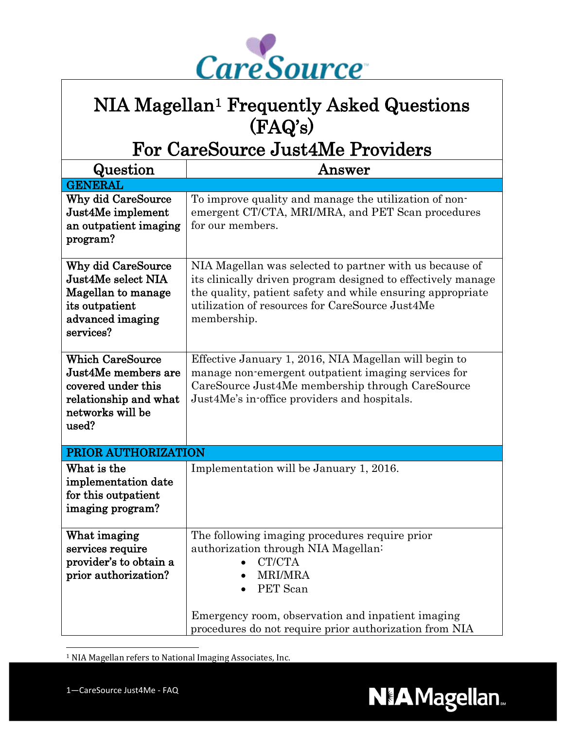

## NIA Magellan<sup>1</sup> Frequently Asked Questions (FAQ's)

For CareSource Just4Me Providers

| Question                                                                                                                   | ${\bf Answer}$                                                                                                                                                                                                                                          |
|----------------------------------------------------------------------------------------------------------------------------|---------------------------------------------------------------------------------------------------------------------------------------------------------------------------------------------------------------------------------------------------------|
| <b>GENERAL</b>                                                                                                             |                                                                                                                                                                                                                                                         |
| Why did CareSource<br>Just4Me implement<br>an outpatient imaging<br>program?                                               | To improve quality and manage the utilization of non-<br>emergent CT/CTA, MRI/MRA, and PET Scan procedures<br>for our members.                                                                                                                          |
| <b>Why did CareSource</b><br>Just4Me select NIA<br>Magellan to manage<br>its outpatient<br>advanced imaging<br>services?   | NIA Magellan was selected to partner with us because of<br>its clinically driven program designed to effectively manage<br>the quality, patient safety and while ensuring appropriate<br>utilization of resources for CareSource Just4Me<br>membership. |
| <b>Which CareSource</b><br>Just4Me members are<br>covered under this<br>relationship and what<br>networks will be<br>used? | Effective January 1, 2016, NIA Magellan will begin to<br>manage non-emergent outpatient imaging services for<br>CareSource Just4Me membership through CareSource<br>Just4Me's in-office providers and hospitals.                                        |
| PRIOR AUTHORIZATION                                                                                                        |                                                                                                                                                                                                                                                         |
| What is the<br>implementation date<br>for this outpatient<br>imaging program?                                              | Implementation will be January 1, 2016.                                                                                                                                                                                                                 |
| What imaging<br>services require<br>provider's to obtain a<br>prior authorization?                                         | The following imaging procedures require prior<br>authorization through NIA Magellan:<br>CT/CTA<br><b>MRI/MRA</b><br>PET Scan<br>Emergency room, observation and inpatient imaging<br>procedures do not require prior authorization from NIA            |

<span id="page-0-0"></span>1 NIA Magellan refers to National Imaging Associates, Inc.

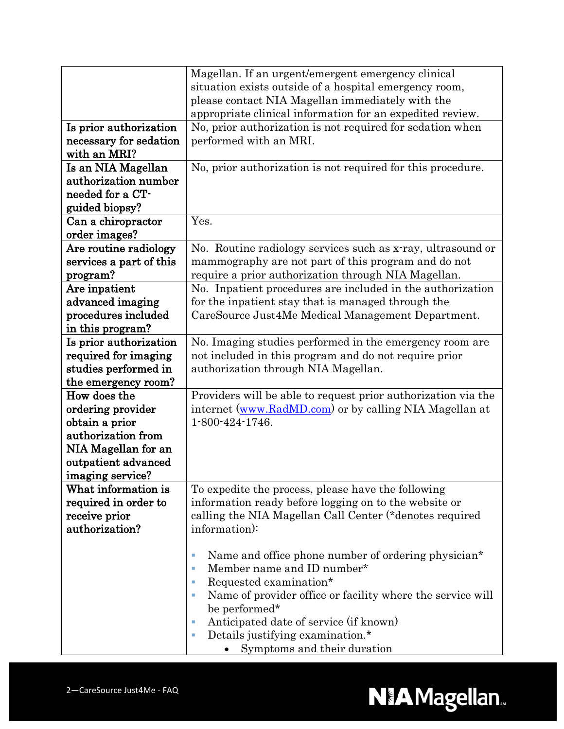|                         | Magellan. If an urgent/emergent emergency clinical               |
|-------------------------|------------------------------------------------------------------|
|                         | situation exists outside of a hospital emergency room,           |
|                         | please contact NIA Magellan immediately with the                 |
|                         | appropriate clinical information for an expedited review.        |
| Is prior authorization  | No, prior authorization is not required for sedation when        |
| necessary for sedation  | performed with an MRI.                                           |
| with an MRI?            |                                                                  |
| Is an NIA Magellan      | No, prior authorization is not required for this procedure.      |
| authorization number    |                                                                  |
| needed for a CT-        |                                                                  |
| guided biopsy?          |                                                                  |
| Can a chiropractor      | Yes.                                                             |
| order images?           |                                                                  |
| Are routine radiology   | No. Routine radiology services such as x-ray, ultrasound or      |
| services a part of this | mammography are not part of this program and do not              |
| program?                | require a prior authorization through NIA Magellan.              |
| Are inpatient           | No. Inpatient procedures are included in the authorization       |
| advanced imaging        | for the inpatient stay that is managed through the               |
| procedures included     | CareSource Just4Me Medical Management Department.                |
| in this program?        |                                                                  |
| Is prior authorization  | No. Imaging studies performed in the emergency room are          |
| required for imaging    | not included in this program and do not require prior            |
| studies performed in    | authorization through NIA Magellan.                              |
| the emergency room?     |                                                                  |
| How does the            | Providers will be able to request prior authorization via the    |
| ordering provider       | internet (www.RadMD.com) or by calling NIA Magellan at           |
| obtain a prior          | 1-800-424-1746.                                                  |
| authorization from      |                                                                  |
| NIA Magellan for an     |                                                                  |
| outpatient advanced     |                                                                  |
| imaging service?        |                                                                  |
| What information is     | To expedite the process, please have the following               |
| required in order to    | information ready before logging on to the website or            |
| receive prior           | calling the NIA Magellan Call Center (*denotes required          |
| authorization?          | information):                                                    |
|                         |                                                                  |
|                         | Name and office phone number of ordering physician*<br>×         |
|                         | Member name and ID number*<br>T.                                 |
|                         | Requested examination*<br>×                                      |
|                         | Name of provider office or facility where the service will<br>T. |
|                         | be performed*                                                    |
|                         | Anticipated date of service (if known)<br>×                      |
|                         | Details justifying examination.*<br>×                            |
|                         | Symptoms and their duration                                      |

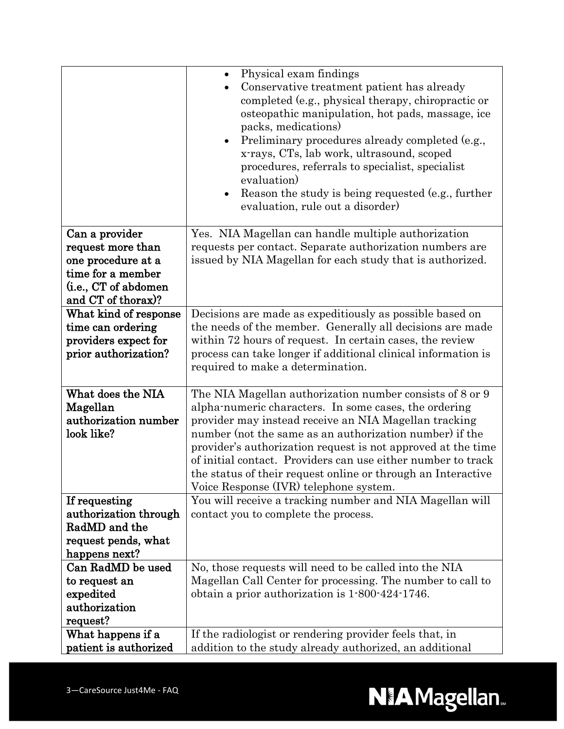|                               | Physical exam findings<br>$\bullet$<br>Conservative treatment patient has already<br>completed (e.g., physical therapy, chiropractic or<br>osteopathic manipulation, hot pads, massage, ice<br>packs, medications)<br>Preliminary procedures already completed (e.g.,<br>$\bullet$<br>x-rays, CTs, lab work, ultrasound, scoped<br>procedures, referrals to specialist, specialist |
|-------------------------------|------------------------------------------------------------------------------------------------------------------------------------------------------------------------------------------------------------------------------------------------------------------------------------------------------------------------------------------------------------------------------------|
|                               | evaluation)<br>Reason the study is being requested (e.g., further<br>evaluation, rule out a disorder)                                                                                                                                                                                                                                                                              |
| Can a provider                | Yes. NIA Magellan can handle multiple authorization                                                                                                                                                                                                                                                                                                                                |
| request more than             | requests per contact. Separate authorization numbers are                                                                                                                                                                                                                                                                                                                           |
| one procedure at a            | issued by NIA Magellan for each study that is authorized.                                                                                                                                                                                                                                                                                                                          |
| time for a member             |                                                                                                                                                                                                                                                                                                                                                                                    |
| (i.e., CT of abdomen          |                                                                                                                                                                                                                                                                                                                                                                                    |
| and CT of thorax)?            |                                                                                                                                                                                                                                                                                                                                                                                    |
| What kind of response         | Decisions are made as expeditiously as possible based on                                                                                                                                                                                                                                                                                                                           |
| time can ordering             | the needs of the member. Generally all decisions are made                                                                                                                                                                                                                                                                                                                          |
| providers expect for          | within 72 hours of request. In certain cases, the review                                                                                                                                                                                                                                                                                                                           |
| prior authorization?          | process can take longer if additional clinical information is                                                                                                                                                                                                                                                                                                                      |
|                               | required to make a determination.                                                                                                                                                                                                                                                                                                                                                  |
|                               |                                                                                                                                                                                                                                                                                                                                                                                    |
| What does the NIA             | The NIA Magellan authorization number consists of 8 or 9                                                                                                                                                                                                                                                                                                                           |
| Magellan                      |                                                                                                                                                                                                                                                                                                                                                                                    |
|                               | alpha-numeric characters. In some cases, the ordering                                                                                                                                                                                                                                                                                                                              |
| authorization number          | provider may instead receive an NIA Magellan tracking                                                                                                                                                                                                                                                                                                                              |
| look like?                    | number (not the same as an authorization number) if the                                                                                                                                                                                                                                                                                                                            |
|                               | provider's authorization request is not approved at the time                                                                                                                                                                                                                                                                                                                       |
|                               | of initial contact. Providers can use either number to track                                                                                                                                                                                                                                                                                                                       |
|                               | the status of their request online or through an Interactive                                                                                                                                                                                                                                                                                                                       |
|                               | Voice Response (IVR) telephone system.                                                                                                                                                                                                                                                                                                                                             |
| If requesting                 | You will receive a tracking number and NIA Magellan will                                                                                                                                                                                                                                                                                                                           |
| authorization through         | contact you to complete the process.                                                                                                                                                                                                                                                                                                                                               |
| RadMD and the                 |                                                                                                                                                                                                                                                                                                                                                                                    |
| request pends, what           |                                                                                                                                                                                                                                                                                                                                                                                    |
| happens next?                 |                                                                                                                                                                                                                                                                                                                                                                                    |
| Can RadMD be used             | No, those requests will need to be called into the NIA                                                                                                                                                                                                                                                                                                                             |
| to request an                 | Magellan Call Center for processing. The number to call to                                                                                                                                                                                                                                                                                                                         |
| expedited                     | obtain a prior authorization is 1.800.424.1746.                                                                                                                                                                                                                                                                                                                                    |
| authorization                 |                                                                                                                                                                                                                                                                                                                                                                                    |
| request?<br>What happens if a | If the radiologist or rendering provider feels that, in                                                                                                                                                                                                                                                                                                                            |

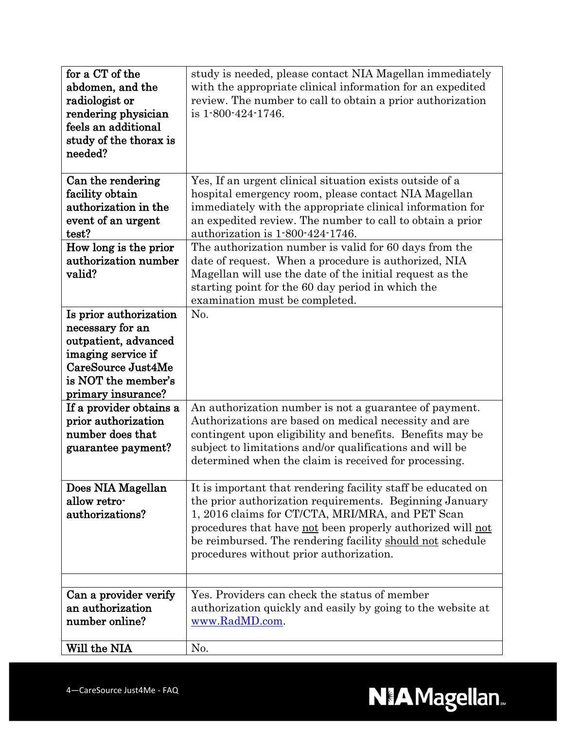| for a CT of the<br>abdomen, and the<br>radiologist or<br>rendering physician<br>feels an additional<br>study of the thorax is<br>needed?                    | study is needed, please contact NIA Magellan immediately<br>with the appropriate clinical information for an expedited<br>review. The number to call to obtain a prior authorization<br>is 1-800-424-1746.                                                                                                                                        |
|-------------------------------------------------------------------------------------------------------------------------------------------------------------|---------------------------------------------------------------------------------------------------------------------------------------------------------------------------------------------------------------------------------------------------------------------------------------------------------------------------------------------------|
| Can the rendering<br>facility obtain<br>authorization in the<br>event of an urgent<br>test?                                                                 | Yes, If an urgent clinical situation exists outside of a<br>hospital emergency room, please contact NIA Magellan<br>immediately with the appropriate clinical information for<br>an expedited review. The number to call to obtain a prior<br>authorization is 1-800-424-1746.                                                                    |
| How long is the prior<br>authorization number<br>valid?                                                                                                     | The authorization number is valid for 60 days from the<br>date of request. When a procedure is authorized, NIA<br>Magellan will use the date of the initial request as the<br>starting point for the 60 day period in which the<br>examination must be completed.                                                                                 |
| Is prior authorization<br>necessary for an<br>outpatient, advanced<br>imaging service if<br>CareSource Just4Me<br>is NOT the member's<br>primary insurance? | No.                                                                                                                                                                                                                                                                                                                                               |
| If a provider obtains a<br>prior authorization<br>number does that<br>guarantee payment?                                                                    | An authorization number is not a guarantee of payment.<br>Authorizations are based on medical necessity and are<br>contingent upon eligibility and benefits. Benefits may be<br>subject to limitations and/or qualifications and will be<br>determined when the claim is received for processing.                                                 |
| Does NIA Magellan<br>allow retro-<br>authorizations?                                                                                                        | It is important that rendering facility staff be educated on<br>the prior authorization requirements. Beginning January<br>1, 2016 claims for CT/CTA, MRI/MRA, and PET Scan<br>procedures that have not been properly authorized will not<br>be reimbursed. The rendering facility should not schedule<br>procedures without prior authorization. |
| Can a provider verify<br>an authorization<br>number online?                                                                                                 | Yes. Providers can check the status of member<br>authorization quickly and easily by going to the website at<br>www.RadMD.com.                                                                                                                                                                                                                    |
| Will the NIA                                                                                                                                                | No.                                                                                                                                                                                                                                                                                                                                               |

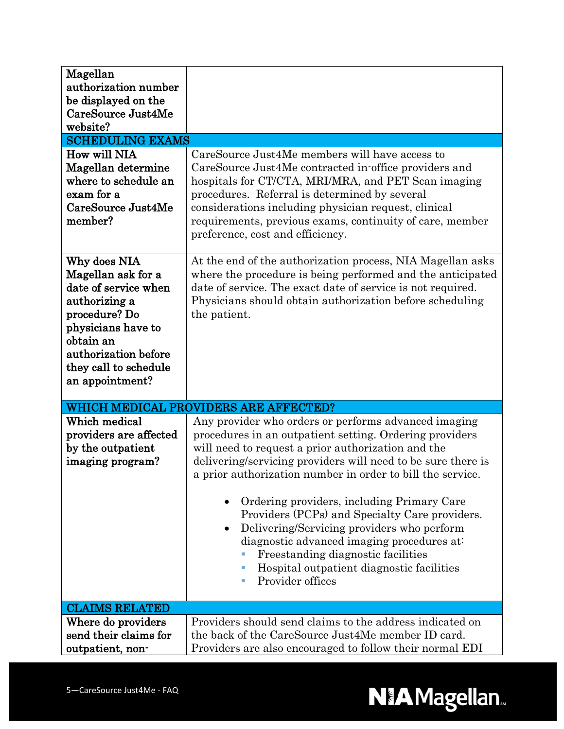| Magellan<br>authorization number<br>be displayed on the<br>CareSource Just4Me<br>website?<br><b>SCHEDULING EXAMS</b>                                                                                |                                                                                                                                                                                                                                                                                                                                                                                                                                                                                                                                                                                                             |
|-----------------------------------------------------------------------------------------------------------------------------------------------------------------------------------------------------|-------------------------------------------------------------------------------------------------------------------------------------------------------------------------------------------------------------------------------------------------------------------------------------------------------------------------------------------------------------------------------------------------------------------------------------------------------------------------------------------------------------------------------------------------------------------------------------------------------------|
| How will NIA                                                                                                                                                                                        | CareSource Just4Me members will have access to                                                                                                                                                                                                                                                                                                                                                                                                                                                                                                                                                              |
| Magellan determine<br>where to schedule an<br>exam for a<br>CareSource Just4Me<br>member?                                                                                                           | CareSource Just4Me contracted in-office providers and<br>hospitals for CT/CTA, MRI/MRA, and PET Scan imaging<br>procedures. Referral is determined by several<br>considerations including physician request, clinical<br>requirements, previous exams, continuity of care, member<br>preference, cost and efficiency.                                                                                                                                                                                                                                                                                       |
| Why does NIA<br>Magellan ask for a<br>date of service when<br>authorizing a<br>procedure? Do<br>physicians have to<br>obtain an<br>authorization before<br>they call to schedule<br>an appointment? | At the end of the authorization process, NIA Magellan asks<br>where the procedure is being performed and the anticipated<br>date of service. The exact date of service is not required.<br>Physicians should obtain authorization before scheduling<br>the patient.                                                                                                                                                                                                                                                                                                                                         |
|                                                                                                                                                                                                     | WHICH MEDICAL PROVIDERS ARE AFFECTED?                                                                                                                                                                                                                                                                                                                                                                                                                                                                                                                                                                       |
| Which medical<br>providers are affected<br>by the outpatient<br>imaging program?                                                                                                                    | Any provider who orders or performs advanced imaging<br>procedures in an outpatient setting. Ordering providers<br>will need to request a prior authorization and the<br>delivering/servicing providers will need to be sure there is<br>a prior authorization number in order to bill the service.<br>Ordering providers, including Primary Care<br>Providers (PCPs) and Specialty Care providers.<br>Delivering/Servicing providers who perform<br>diagnostic advanced imaging procedures at:<br>Freestanding diagnostic facilities<br>Hospital outpatient diagnostic facilities<br>Provider offices<br>× |
| <b>CLAIMS RELATED</b>                                                                                                                                                                               |                                                                                                                                                                                                                                                                                                                                                                                                                                                                                                                                                                                                             |
| Where do providers<br>send their claims for<br>outpatient, non-                                                                                                                                     | Providers should send claims to the address indicated on<br>the back of the CareSource Just4Me member ID card.<br>Providers are also encouraged to follow their normal EDI                                                                                                                                                                                                                                                                                                                                                                                                                                  |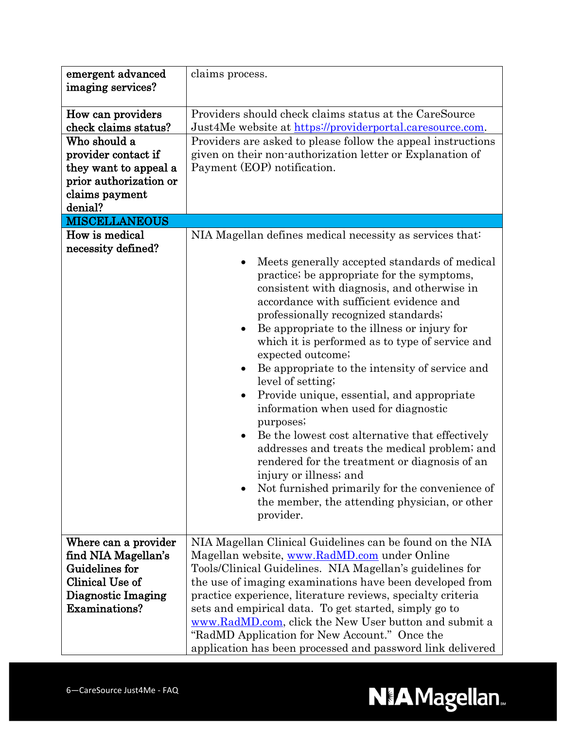| emergent advanced<br>imaging services?                                                                                                                                                                                           | claims process.                                                                                                                                                                                                                                                                                                                                                                                                                                                                                                                                                                                                                                                                                                                                                                                                                                                                                                                                                                                                                                                                                                                                                              |
|----------------------------------------------------------------------------------------------------------------------------------------------------------------------------------------------------------------------------------|------------------------------------------------------------------------------------------------------------------------------------------------------------------------------------------------------------------------------------------------------------------------------------------------------------------------------------------------------------------------------------------------------------------------------------------------------------------------------------------------------------------------------------------------------------------------------------------------------------------------------------------------------------------------------------------------------------------------------------------------------------------------------------------------------------------------------------------------------------------------------------------------------------------------------------------------------------------------------------------------------------------------------------------------------------------------------------------------------------------------------------------------------------------------------|
| How can providers<br>check claims status?<br>Who should a<br>provider contact if<br>they want to appeal a<br>prior authorization or<br>claims payment<br>denial?<br><b>MISCELLANEOUS</b><br>How is medical<br>necessity defined? | Providers should check claims status at the CareSource<br>Just4Me website at https://providerportal.caresource.com.<br>Providers are asked to please follow the appeal instructions<br>given on their non-authorization letter or Explanation of<br>Payment (EOP) notification.<br>NIA Magellan defines medical necessity as services that:<br>Meets generally accepted standards of medical<br>practice; be appropriate for the symptoms,<br>consistent with diagnosis, and otherwise in<br>accordance with sufficient evidence and<br>professionally recognized standards;<br>Be appropriate to the illness or injury for<br>which it is performed as to type of service and<br>expected outcome;<br>Be appropriate to the intensity of service and<br>level of setting;<br>Provide unique, essential, and appropriate<br>information when used for diagnostic<br>purposes;<br>Be the lowest cost alternative that effectively<br>addresses and treats the medical problem; and<br>rendered for the treatment or diagnosis of an<br>injury or illness; and<br>Not furnished primarily for the convenience of<br>the member, the attending physician, or other<br>provider. |
| Where can a provider<br>find NIA Magellan's<br>Guidelines for<br>Clinical Use of<br>Diagnostic Imaging<br>Examinations?                                                                                                          | NIA Magellan Clinical Guidelines can be found on the NIA<br>Magellan website, www.RadMD.com under Online<br>Tools/Clinical Guidelines. NIA Magellan's guidelines for<br>the use of imaging examinations have been developed from<br>practice experience, literature reviews, specialty criteria<br>sets and empirical data. To get started, simply go to<br>www.RadMD.com, click the New User button and submit a<br>"RadMD Application for New Account." Once the<br>application has been processed and password link delivered                                                                                                                                                                                                                                                                                                                                                                                                                                                                                                                                                                                                                                             |